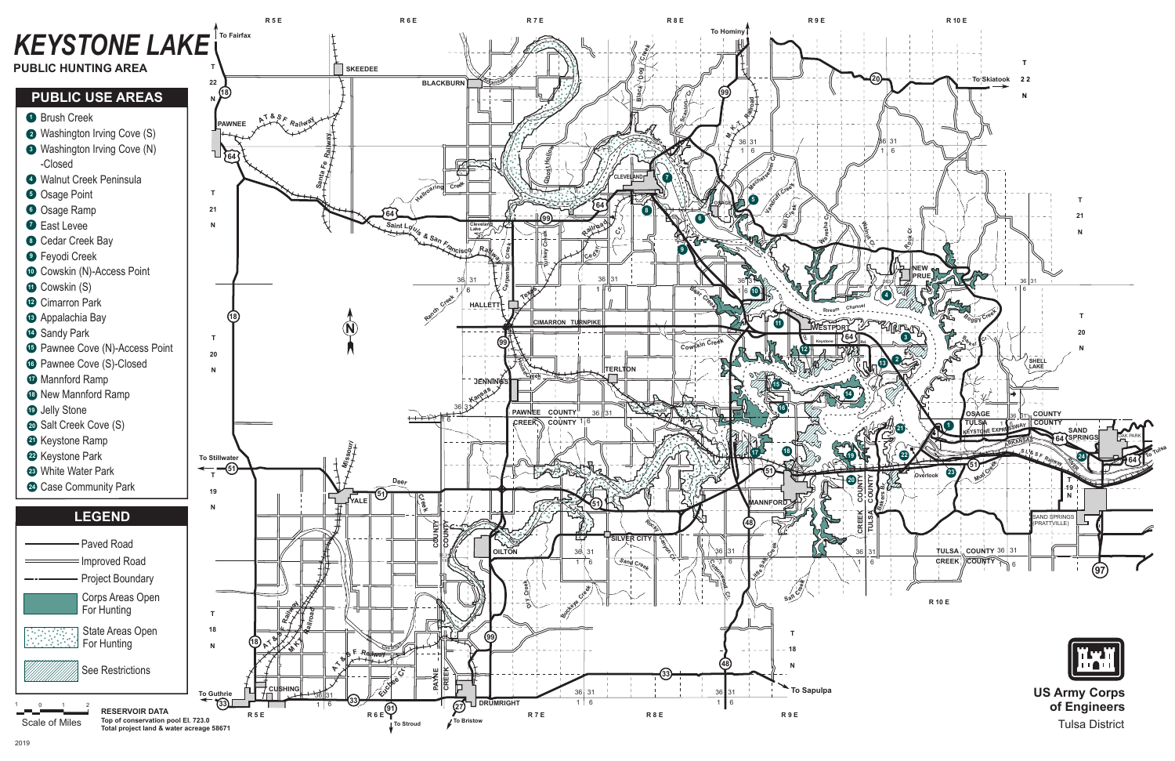